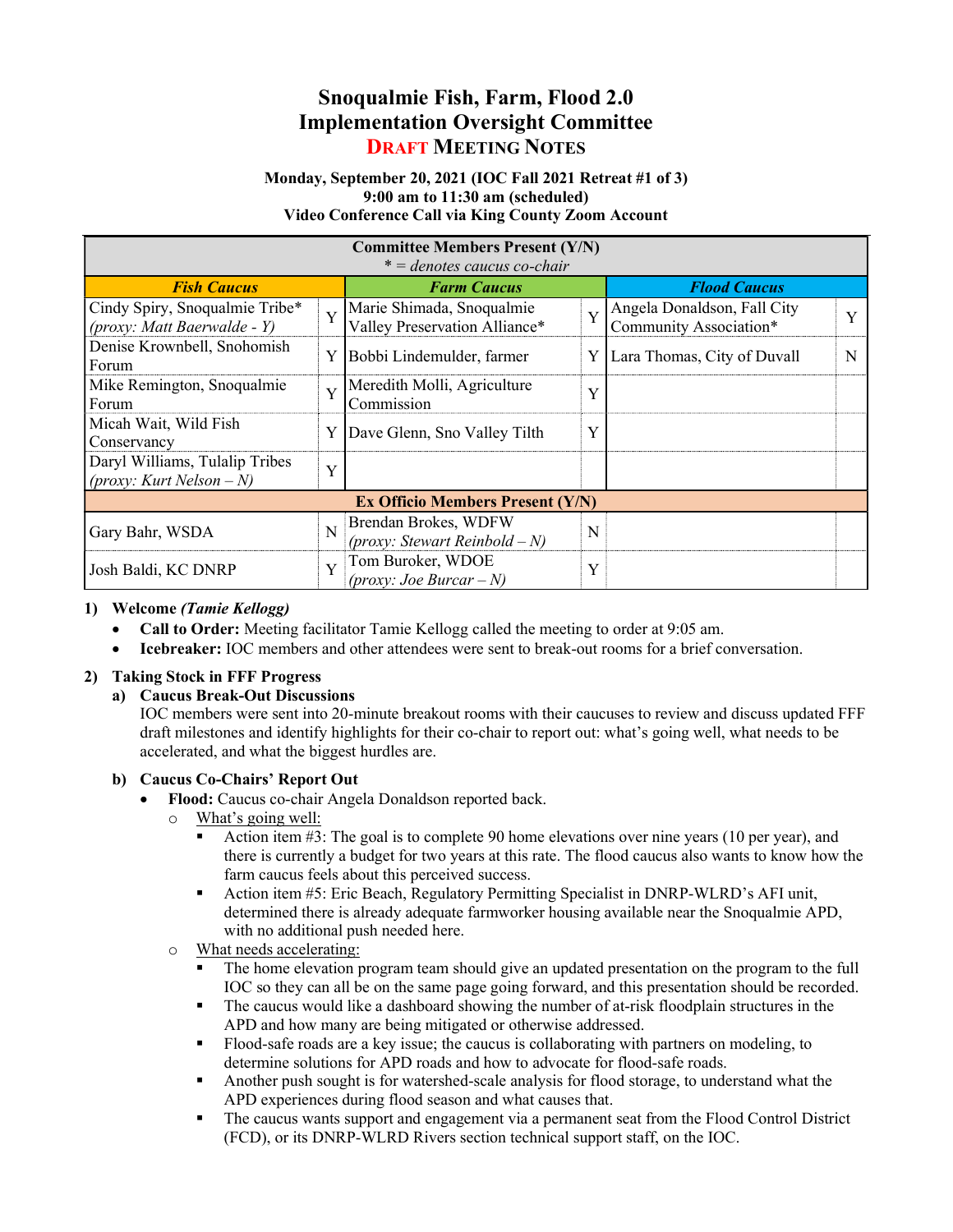# Snoqualmie Fish, Farm, Flood 2.0 Implementation Oversight Committee DRAFT MEETING NOTES

#### Monday, September 20, 2021 (IOC Fall 2021 Retreat #1 of 3) 9:00 am to 11:30 am (scheduled) Video Conference Call via King County Zoom Account

| <b>Committee Members Present (Y/N)</b>                                |                |                                                            |   |                                                       |              |
|-----------------------------------------------------------------------|----------------|------------------------------------------------------------|---|-------------------------------------------------------|--------------|
| $* =$ denotes caucus co-chair                                         |                |                                                            |   |                                                       |              |
| <b>Fish Caucus</b>                                                    |                | <b>Farm Caucus</b>                                         |   | <b>Flood Caucus</b>                                   |              |
| Cindy Spiry, Snoqualmie Tribe*<br>$\int (prox y: Matt Baerwalde - Y)$ | $\overline{Y}$ | Marie Shimada, Snoqualmie<br>Valley Preservation Alliance* | Y | Angela Donaldson, Fall City<br>Community Association* | $\mathbf{v}$ |
| Denise Krownbell, Snohomish<br>Forum                                  | Y              | Bobbi Lindemulder, farmer                                  | Y | Lara Thomas, City of Duvall                           | N            |
| Mike Remington, Snoqualmie<br>Forum                                   | Y              | Meredith Molli, Agriculture<br>Commission                  | Y |                                                       |              |
| Micah Wait, Wild Fish<br>Conservancy                                  | Y              | Dave Glenn, Sno Valley Tilth                               | Y |                                                       |              |
| Daryl Williams, Tulalip Tribes<br>(proxy: Kurt Nelson – N)            | Y              |                                                            |   |                                                       |              |
| <b>Ex Officio Members Present (Y/N)</b>                               |                |                                                            |   |                                                       |              |
| Gary Bahr, WSDA                                                       | N              | Brendan Brokes, WDFW<br>(proxy: Stewart Reinbold $-N$ )    | N |                                                       |              |
| Josh Baldi, KC DNRP                                                   | Y              | Tom Buroker, WDOE<br>(proxy: Joe Burcar – N)               | Y |                                                       |              |

### 1) Welcome (Tamie Kellogg)

- Call to Order: Meeting facilitator Tamie Kellogg called the meeting to order at 9:05 am.
- Icebreaker: IOC members and other attendees were sent to break-out rooms for a brief conversation.

### 2) Taking Stock in FFF Progress

### a) Caucus Break-Out Discussions

IOC members were sent into 20-minute breakout rooms with their caucuses to review and discuss updated FFF draft milestones and identify highlights for their co-chair to report out: what's going well, what needs to be accelerated, and what the biggest hurdles are.

### b) Caucus Co-Chairs' Report Out

- Flood: Caucus co-chair Angela Donaldson reported back.
	- o What's going well:
		- Action item #3: The goal is to complete 90 home elevations over nine years (10 per year), and there is currently a budget for two years at this rate. The flood caucus also wants to know how the farm caucus feels about this perceived success.
		- Action item #5: Eric Beach, Regulatory Permitting Specialist in DNRP-WLRD's AFI unit, determined there is already adequate farmworker housing available near the Snoqualmie APD, with no additional push needed here.
	- o What needs accelerating:
		- The home elevation program team should give an updated presentation on the program to the full IOC so they can all be on the same page going forward, and this presentation should be recorded.
		- The caucus would like a dashboard showing the number of at-risk floodplain structures in the APD and how many are being mitigated or otherwise addressed.
		- Flood-safe roads are a key issue; the caucus is collaborating with partners on modeling, to determine solutions for APD roads and how to advocate for flood-safe roads.
		- Another push sought is for watershed-scale analysis for flood storage, to understand what the APD experiences during flood season and what causes that.
		- The caucus wants support and engagement via a permanent seat from the Flood Control District (FCD), or its DNRP-WLRD Rivers section technical support staff, on the IOC.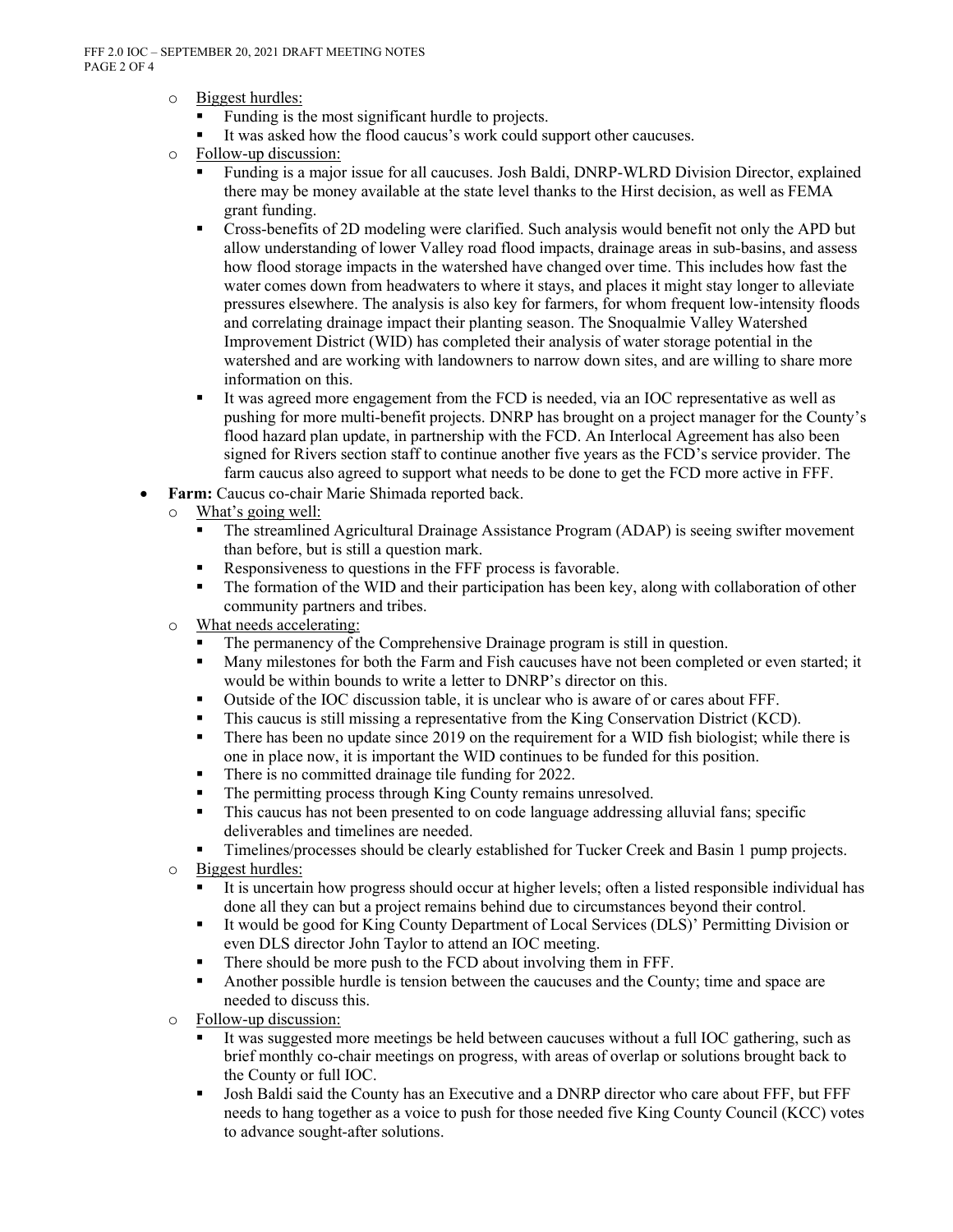- o Biggest hurdles:
	- Funding is the most significant hurdle to projects.<br>■ It was asked how the flood caucus's work could sum
	- It was asked how the flood caucus's work could support other caucuses.
- o Follow-up discussion:
	- Funding is a major issue for all caucuses. Josh Baldi, DNRP-WLRD Division Director, explained there may be money available at the state level thanks to the Hirst decision, as well as FEMA grant funding.
	- Cross-benefits of 2D modeling were clarified. Such analysis would benefit not only the APD but allow understanding of lower Valley road flood impacts, drainage areas in sub-basins, and assess how flood storage impacts in the watershed have changed over time. This includes how fast the water comes down from headwaters to where it stays, and places it might stay longer to alleviate pressures elsewhere. The analysis is also key for farmers, for whom frequent low-intensity floods and correlating drainage impact their planting season. The Snoqualmie Valley Watershed Improvement District (WID) has completed their analysis of water storage potential in the watershed and are working with landowners to narrow down sites, and are willing to share more information on this.
	- It was agreed more engagement from the FCD is needed, via an IOC representative as well as pushing for more multi-benefit projects. DNRP has brought on a project manager for the County's flood hazard plan update, in partnership with the FCD. An Interlocal Agreement has also been signed for Rivers section staff to continue another five years as the FCD's service provider. The farm caucus also agreed to support what needs to be done to get the FCD more active in FFF.
- Farm: Caucus co-chair Marie Shimada reported back.
	- o What's going well:
		- The streamlined Agricultural Drainage Assistance Program (ADAP) is seeing swifter movement than before, but is still a question mark.
		- Responsiveness to questions in the FFF process is favorable.
		- The formation of the WID and their participation has been key, along with collaboration of other community partners and tribes.
	- o What needs accelerating:
		- The permanency of the Comprehensive Drainage program is still in question.
		- Many milestones for both the Farm and Fish caucuses have not been completed or even started; it would be within bounds to write a letter to DNRP's director on this.
		- Outside of the IOC discussion table, it is unclear who is aware of or cares about FFF.<br>■ This caucus is still missing a representative from the King Conservation District (KC)
		- This caucus is still missing a representative from the King Conservation District (KCD).
		- There has been no update since 2019 on the requirement for a WID fish biologist; while there is one in place now, it is important the WID continues to be funded for this position.
		- There is no committed drainage tile funding for 2022.
		- The permitting process through King County remains unresolved.
		- This caucus has not been presented to on code language addressing alluvial fans; specific deliverables and timelines are needed.
		- Timelines/processes should be clearly established for Tucker Creek and Basin 1 pump projects.
	- o Biggest hurdles:
		- It is uncertain how progress should occur at higher levels; often a listed responsible individual has done all they can but a project remains behind due to circumstances beyond their control.
		- It would be good for King County Department of Local Services (DLS)' Permitting Division or even DLS director John Taylor to attend an IOC meeting.
		- There should be more push to the FCD about involving them in FFF.
		- Another possible hurdle is tension between the caucuses and the County; time and space are needed to discuss this.
	- o Follow-up discussion:
		- It was suggested more meetings be held between caucuses without a full IOC gathering, such as brief monthly co-chair meetings on progress, with areas of overlap or solutions brought back to the County or full IOC.
		- Josh Baldi said the County has an Executive and a DNRP director who care about FFF, but FFF needs to hang together as a voice to push for those needed five King County Council (KCC) votes to advance sought-after solutions.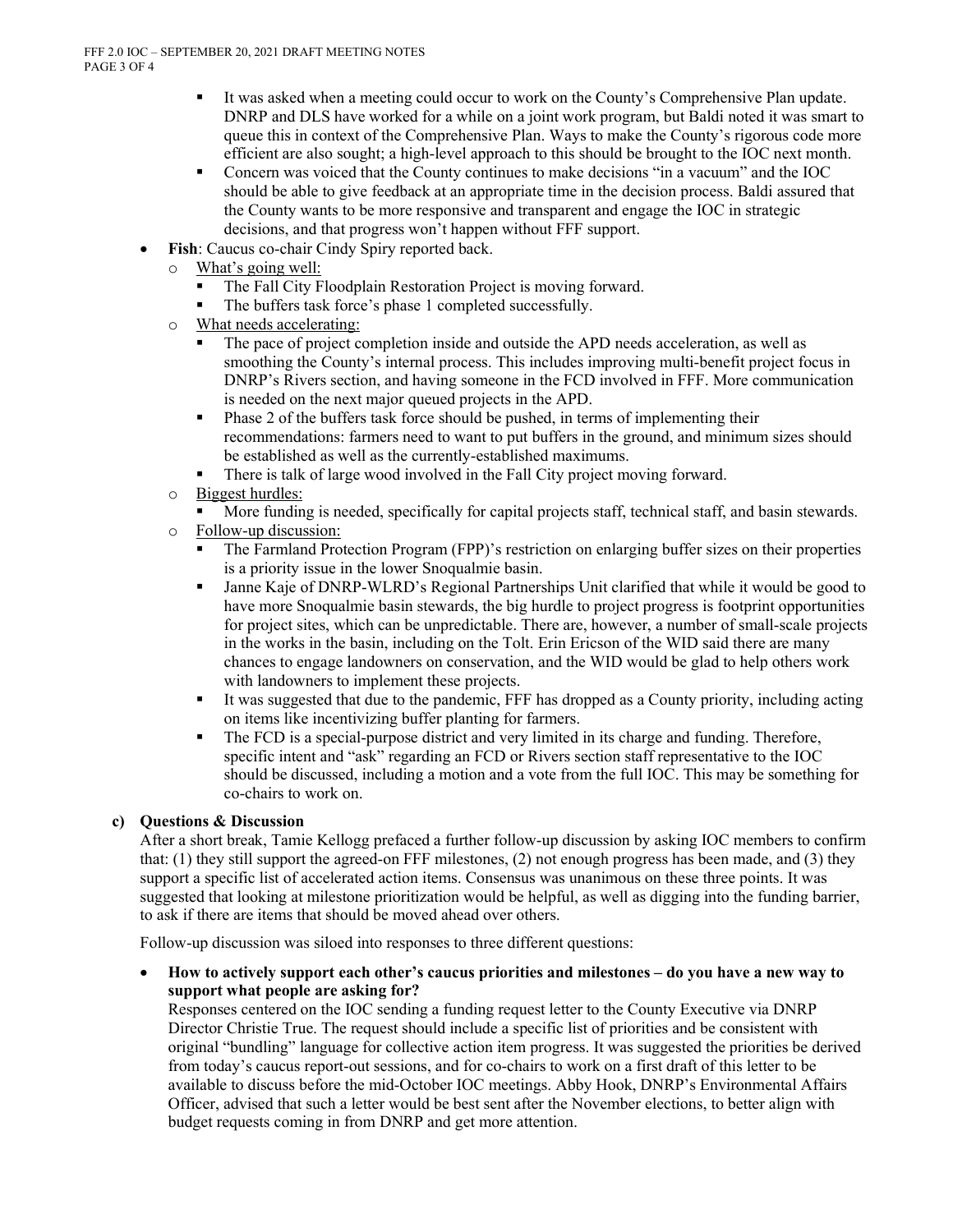- It was asked when a meeting could occur to work on the County's Comprehensive Plan update. DNRP and DLS have worked for a while on a joint work program, but Baldi noted it was smart to queue this in context of the Comprehensive Plan. Ways to make the County's rigorous code more efficient are also sought; a high-level approach to this should be brought to the IOC next month.
- Concern was voiced that the County continues to make decisions "in a vacuum" and the IOC should be able to give feedback at an appropriate time in the decision process. Baldi assured that the County wants to be more responsive and transparent and engage the IOC in strategic decisions, and that progress won't happen without FFF support.
- Fish: Caucus co-chair Cindy Spiry reported back.
	- o What's going well:
		- The Fall City Floodplain Restoration Project is moving forward.
		- The buffers task force's phase 1 completed successfully.
	- o What needs accelerating:
		- The pace of project completion inside and outside the APD needs acceleration, as well as smoothing the County's internal process. This includes improving multi-benefit project focus in DNRP's Rivers section, and having someone in the FCD involved in FFF. More communication is needed on the next major queued projects in the APD.
		- Phase 2 of the buffers task force should be pushed, in terms of implementing their recommendations: farmers need to want to put buffers in the ground, and minimum sizes should be established as well as the currently-established maximums.
		- There is talk of large wood involved in the Fall City project moving forward.
	- o Biggest hurdles:
		- More funding is needed, specifically for capital projects staff, technical staff, and basin stewards.
	- o Follow-up discussion:
		- The Farmland Protection Program (FPP)'s restriction on enlarging buffer sizes on their properties is a priority issue in the lower Snoqualmie basin.
		- Janne Kaje of DNRP-WLRD's Regional Partnerships Unit clarified that while it would be good to have more Snoqualmie basin stewards, the big hurdle to project progress is footprint opportunities for project sites, which can be unpredictable. There are, however, a number of small-scale projects in the works in the basin, including on the Tolt. Erin Ericson of the WID said there are many chances to engage landowners on conservation, and the WID would be glad to help others work with landowners to implement these projects.
		- It was suggested that due to the pandemic, FFF has dropped as a County priority, including acting on items like incentivizing buffer planting for farmers.
		- The FCD is a special-purpose district and very limited in its charge and funding. Therefore, specific intent and "ask" regarding an FCD or Rivers section staff representative to the IOC should be discussed, including a motion and a vote from the full IOC. This may be something for co-chairs to work on.

## c) Questions & Discussion

After a short break, Tamie Kellogg prefaced a further follow-up discussion by asking IOC members to confirm that: (1) they still support the agreed-on FFF milestones, (2) not enough progress has been made, and (3) they support a specific list of accelerated action items. Consensus was unanimous on these three points. It was suggested that looking at milestone prioritization would be helpful, as well as digging into the funding barrier, to ask if there are items that should be moved ahead over others.

Follow-up discussion was siloed into responses to three different questions:

 How to actively support each other's caucus priorities and milestones – do you have a new way to support what people are asking for?

Responses centered on the IOC sending a funding request letter to the County Executive via DNRP Director Christie True. The request should include a specific list of priorities and be consistent with original "bundling" language for collective action item progress. It was suggested the priorities be derived from today's caucus report-out sessions, and for co-chairs to work on a first draft of this letter to be available to discuss before the mid-October IOC meetings. Abby Hook, DNRP's Environmental Affairs Officer, advised that such a letter would be best sent after the November elections, to better align with budget requests coming in from DNRP and get more attention.